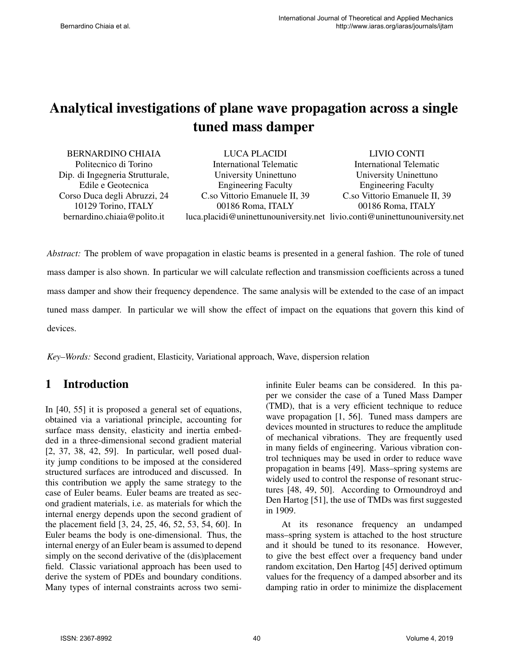# Analytical investigations of plane wave propagation across a single tuned mass damper

BERNARDINO CHIAIA Politecnico di Torino Dip. di Ingegneria Strutturale, Edile e Geotecnica Corso Duca degli Abruzzi, 24 10129 Torino, ITALY bernardino.chiaia@polito.it

LUCA PLACIDI International Telematic University Uninettuno Engineering Faculty C.so Vittorio Emanuele II, 39 00186 Roma, ITALY luca.placidi@uninettunouniversity.net livio.conti@uninettunouniversity.net

LIVIO CONTI International Telematic University Uninettuno Engineering Faculty C.so Vittorio Emanuele II, 39 00186 Roma, ITALY

*Abstract:* The problem of wave propagation in elastic beams is presented in a general fashion. The role of tuned mass damper is also shown. In particular we will calculate reflection and transmission coefficients across a tuned mass damper and show their frequency dependence. The same analysis will be extended to the case of an impact tuned mass damper. In particular we will show the effect of impact on the equations that govern this kind of devices.

*Key–Words:* Second gradient, Elasticity, Variational approach, Wave, dispersion relation

### 1 Introduction

In [40, 55] it is proposed a general set of equations, obtained via a variational principle, accounting for surface mass density, elasticity and inertia embedded in a three-dimensional second gradient material [2, 37, 38, 42, 59]. In particular, well posed duality jump conditions to be imposed at the considered structured surfaces are introduced and discussed. In this contribution we apply the same strategy to the case of Euler beams. Euler beams are treated as second gradient materials, i.e. as materials for which the internal energy depends upon the second gradient of the placement field [3, 24, 25, 46, 52, 53, 54, 60]. In Euler beams the body is one-dimensional. Thus, the internal energy of an Euler beam is assumed to depend simply on the second derivative of the (dis)placement field. Classic variational approach has been used to derive the system of PDEs and boundary conditions. Many types of internal constraints across two semiinfinite Euler beams can be considered. In this paper we consider the case of a Tuned Mass Damper (TMD), that is a very efficient technique to reduce wave propagation [1, 56]. Tuned mass dampers are devices mounted in structures to reduce the amplitude of mechanical vibrations. They are frequently used in many fields of engineering. Various vibration control techniques may be used in order to reduce wave propagation in beams [49]. Mass–spring systems are widely used to control the response of resonant structures [48, 49, 50]. According to Ormoundroyd and Den Hartog [51], the use of TMDs was first suggested in 1909.

At its resonance frequency an undamped mass–spring system is attached to the host structure and it should be tuned to its resonance. However, to give the best effect over a frequency band under random excitation, Den Hartog [45] derived optimum values for the frequency of a damped absorber and its damping ratio in order to minimize the displacement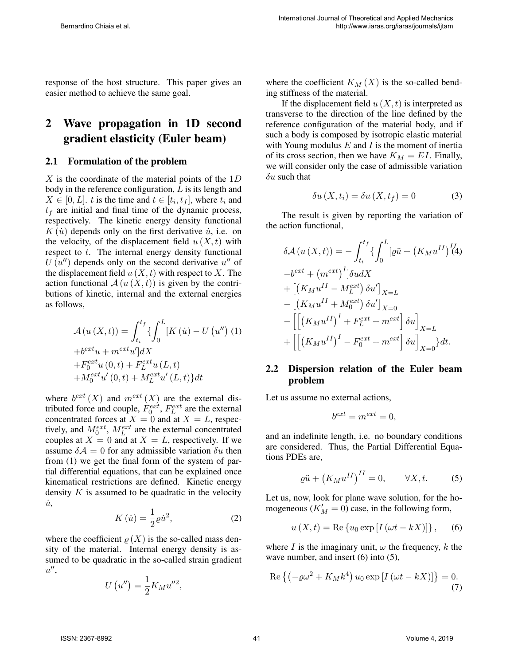response of the host structure. This paper gives an easier method to achieve the same goal.

## 2 Wave propagation in 1D second gradient elasticity (Euler beam)

#### 2.1 Formulation of the problem

 $X$  is the coordinate of the material points of the  $1D$ body in the reference configuration,  $L$  is its length and  $X \in [0, L]$ . t is the time and  $t \in [t_i, t_f]$ , where  $t_i$  and  $t_f$  are initial and final time of the dynamic process, respectively. The kinetic energy density functional  $K(\dot{u})$  depends only on the first derivative  $\dot{u}$ , i.e. on the velocity, of the displacement field  $u(X, t)$  with respect to t. The internal energy density functional  $U(\hat{u}'')$  depends only on the second derivative  $u''$  of the displacement field  $u(X, t)$  with respect to X. The action functional  $\mathcal{A}(u(X,t))$  is given by the contributions of kinetic, internal and the external energies as follows,

$$
\mathcal{A}(u(X,t)) = \int_{t_i}^{t_f} \{ \int_0^L [K(\dot{u}) - U(u'') (1) + b^{ext} u + m^{ext} u' ] dX + F_0^{ext} u (0, t) + F_L^{ext} u (L, t) + M_0^{ext} u' (0, t) + M_L^{ext} u' (L, t) \} dt
$$

where  $b^{ext}(X)$  and  $m^{ext}(X)$  are the external distributed force and couple,  $\dot{F}_0^{ext}$ ,  $F_L^{ext}$  are the external concentrated forces at  $X = 0$  and at  $X = L$ , respectively, and  $M_0^{ext}$ ,  $M_L^{ext}$  are the external concentrated couples at  $X = 0$  and at  $X = L$ , respectively. If we assume  $\delta A = 0$  for any admissible variation  $\delta u$  then from (1) we get the final form of the system of partial differential equations, that can be explained once kinematical restrictions are defined. Kinetic energy density  $K$  is assumed to be quadratic in the velocity  $\dot{u}$ ,

$$
K\left(\dot{u}\right) = \frac{1}{2}\varrho\dot{u}^2,\tag{2}
$$

where the coefficient  $\rho(X)$  is the so-called mass density of the material. Internal energy density is assumed to be quadratic in the so-called strain gradient  $u^{\prime\prime}$ 

$$
U\left(u''\right) = \frac{1}{2}K_M u''^2,
$$

where the coefficient  $K_M(X)$  is the so-called bending stiffness of the material.

If the displacement field  $u(X, t)$  is interpreted as transverse to the direction of the line defined by the reference configuration of the material body, and if such a body is composed by isotropic elastic material with Young modulus  $E$  and  $I$  is the moment of inertia of its cross section, then we have  $K_M = EI$ . Finally, we will consider only the case of admissible variation  $\delta u$  such that

$$
\delta u\left(X, t_i\right) = \delta u\left(X, t_f\right) = 0\tag{3}
$$

The result is given by reporting the variation of the action functional,

$$
\delta \mathcal{A}(u(X,t)) = -\int_{t_i}^{t_f} \left\{ \int_0^L \left[ \varrho \ddot{u} + \left( K_M u^{II} \right)^I \right] \, dA \right\} \n-b^{ext} + \left( m^{ext} \right)^I \left| \delta u dX \right| \n+ \left[ \left( K_M u^{II} - M_L^{ext} \right) \delta u' \right]_{X=L} \n- \left[ \left( K_M u^{II} + M_0^{ext} \right) \delta u' \right]_{X=0} \n- \left[ \left[ \left( K_M u^{II} \right)^I + F_L^{ext} + m^{ext} \right] \delta u \right]_{X=L} \n+ \left[ \left[ \left( K_M u^{II} \right)^I - F_0^{ext} + m^{ext} \right] \delta u \right]_{X=0} \right\} dt.
$$

### 2.2 Dispersion relation of the Euler beam problem

Let us assume no external actions,

$$
b^{ext} = m^{ext} = 0,
$$

and an indefinite length, i.e. no boundary conditions are considered. Thus, the Partial Differential Equations PDEs are,

$$
\varrho \ddot{u} + \left( K_M u^{II} \right)^{II} = 0, \qquad \forall X, t. \tag{5}
$$

Let us, now, look for plane wave solution, for the homogeneous ( $K'_M = 0$ ) case, in the following form,

$$
u(X,t) = \text{Re} \{u_0 \exp[I(\omega t - kX)]\},
$$
 (6)

where I is the imaginary unit,  $\omega$  the frequency, k the wave number, and insert (6) into (5),

$$
\operatorname{Re}\left\{ \left( -\varrho\omega^2 + K_M k^4 \right) u_0 \exp\left[ I \left( \omega t - kX \right) \right] \right\} = 0. \tag{7}
$$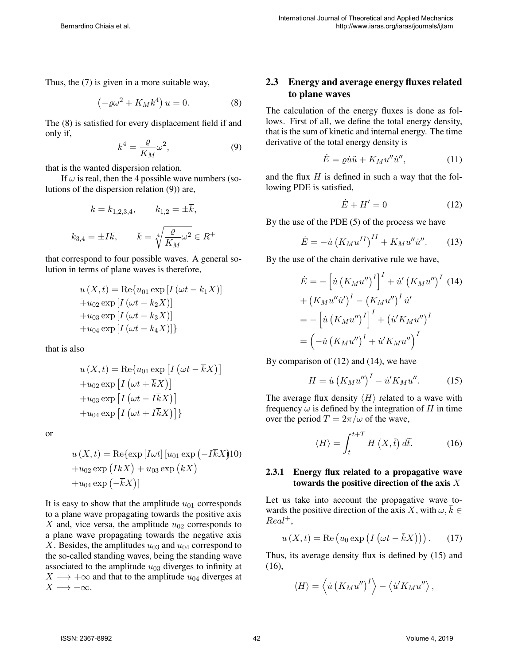Thus, the (7) is given in a more suitable way,

$$
\left(-\varrho\omega^2 + K_M k^4\right)u = 0.
$$
 (8)

The (8) is satisfied for every displacement field if and only if,

$$
k^4 = \frac{\varrho}{K_M} \omega^2,\tag{9}
$$

that is the wanted dispersion relation.

If  $\omega$  is real, then the 4 possible wave numbers (solutions of the dispersion relation (9)) are,

$$
k = k_{1,2,3,4},
$$
  $k_{1,2} = \pm \overline{k},$   
 $k_{3,4} = \pm I\overline{k},$   $\overline{k} = \sqrt[4]{\frac{\rho}{K_M}}\omega^2 \in R^+$ 

that correspond to four possible waves. A general solution in terms of plane waves is therefore,

$$
u(X,t) = \text{Re}\{u_{01} \exp[I(\omega t - k_1 X)]
$$
  
+
$$
u_{02} \exp[I(\omega t - k_2 X)]
$$
  
+
$$
u_{03} \exp[I(\omega t - k_3 X)]
$$
  
+
$$
u_{04} \exp[I(\omega t - k_4 X)]
$$

that is also

$$
u(X,t) = \text{Re}\{u_{01} \exp\left[I\left(\omega t - \overline{k}X\right)\right] + u_{02} \exp\left[I\left(\omega t + \overline{k}X\right)\right] + u_{03} \exp\left[I\left(\omega t - I\overline{k}X\right)\right] + u_{04} \exp\left[I\left(\omega t + I\overline{k}X\right)\right]\}
$$

or

$$
u(X,t) = \text{Re}\{\exp\left[I\omega t\right] [u_{01} \exp\left(-I\overline{k}X\right)]0
$$

$$
+u_{02} \exp\left(I\overline{k}X\right) + u_{03} \exp\left(\overline{k}X\right)
$$

$$
+u_{04} \exp\left(-\overline{k}X\right)]
$$

It is easy to show that the amplitude  $u_{01}$  corresponds to a plane wave propagating towards the positive axis X and, vice versa, the amplitude  $u_{02}$  corresponds to a plane wave propagating towards the negative axis X. Besides, the amplitudes  $u_{03}$  and  $u_{04}$  correspond to the so-called standing waves, being the standing wave associated to the amplitude  $u_{03}$  diverges to infinity at  $X \longrightarrow +\infty$  and that to the amplitude  $u_{04}$  diverges at  $X \longrightarrow -\infty$ .

### 2.3 Energy and average energy fluxes related to plane waves

The calculation of the energy fluxes is done as follows. First of all, we define the total energy density, that is the sum of kinetic and internal energy. The time derivative of the total energy density is

$$
\dot{E} = \varrho \dot{u}\ddot{u} + K_M u'' \dot{u}'' ,\qquad (11)
$$

and the flux  $H$  is defined in such a way that the following PDE is satisfied,

$$
\dot{E} + H' = 0 \tag{12}
$$

By the use of the PDE (5) of the process we have

$$
\dot{E} = -\dot{u} \left( K_M u^{II} \right)^{II} + K_M u'' \dot{u}''.
$$
 (13)

By the use of the chain derivative rule we have,

$$
\dot{E} = -\left[\dot{u} (K_M u'')^I\right]^I + \dot{u}' (K_M u'')^I
$$
 (14)  
+  $(K_M u''\dot{u}')^I - (K_M u'')^I \dot{u}'$   
=  $- \left[\dot{u} (K_M u'')^I\right]^I + (\dot{u}' K_M u'')^I$   
=  $(-\dot{u} (K_M u'')^I + \dot{u}' K_M u'')^I$ 

By comparison of (12) and (14), we have

$$
H = \dot{u} \left( K_M u'' \right)^I - \dot{u}' K_M u''.
$$
 (15)

The average flux density  $\langle H \rangle$  related to a wave with frequency  $\omega$  is defined by the integration of H in time over the period  $T = 2\pi/\omega$  of the wave,

$$
\langle H \rangle = \int_{t}^{t+T} H\left(X, \tilde{t}\right) d\tilde{t}.
$$
 (16)

#### 2.3.1 Energy flux related to a propagative wave towards the positive direction of the axis  $X$

Let us take into account the propagative wave towards the positive direction of the axis X, with  $\omega, \overline{k} \in$  $Real<sup>+</sup>,$ 

$$
u(X,t) = \text{Re}\left(u_0 \exp\left(I\left(\omega t - \bar{k}X\right)\right)\right). \tag{17}
$$

Thus, its average density flux is defined by (15) and (16),

$$
\langle H \rangle = \left\langle \dot{u} \left( K_M u'' \right)^I \right\rangle - \left\langle \dot{u}' K_M u'' \right\rangle,
$$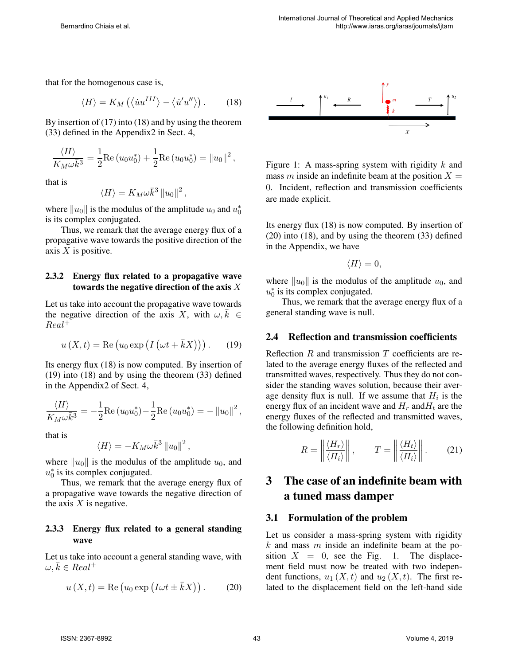that for the homogenous case is,

$$
\langle H \rangle = K_M \left( \langle \dot{u}u^{III} \rangle - \langle \dot{u}'u'' \rangle \right). \tag{18}
$$

By insertion of (17) into (18) and by using the theorem (33) defined in the Appendix2 in Sect. 4,

$$
\frac{\langle H \rangle}{K_M \omega \bar{k}^3} = \frac{1}{2} \text{Re} (u_0 u_0^*) + \frac{1}{2} \text{Re} (u_0 u_0^*) = ||u_0||^2,
$$

that is

$$
\langle H \rangle = K_M \omega \bar{k}^3 \, ||u_0||^2 \,,
$$

where  $||u_0||$  is the modulus of the amplitude  $u_0$  and  $u_0^*$ is its complex conjugated.

Thus, we remark that the average energy flux of a propagative wave towards the positive direction of the axis  $X$  is positive.

#### 2.3.2 Energy flux related to a propagative wave towards the negative direction of the axis  $X$

Let us take into account the propagative wave towards the negative direction of the axis X, with  $\omega, \bar{k} \in$ Real<sup>+</sup>

$$
u(X,t) = \text{Re}\left(u_0 \exp\left(I\left(\omega t + \bar{k}X\right)\right)\right). \tag{19}
$$

Its energy flux (18) is now computed. By insertion of (19) into (18) and by using the theorem (33) defined in the Appendix2 of Sect. 4,

$$
\frac{\langle H \rangle}{K_M \omega \bar{k}^3} = -\frac{1}{2} \text{Re} (u_0 u_0^*) - \frac{1}{2} \text{Re} (u_0 u_0^*) = - ||u_0||^2,
$$

that is

$$
\langle H \rangle = - K_M \omega \bar{k}^3 \left\| u_0 \right\|^2,
$$

where  $||u_0||$  is the modulus of the amplitude  $u_0$ , and  $u_0^*$  is its complex conjugated.

Thus, we remark that the average energy flux of a propagative wave towards the negative direction of the axis  $X$  is negative.

#### 2.3.3 Energy flux related to a general standing wave

Let us take into account a general standing wave, with  $\omega, \bar{k} \in Real^+$ 

$$
u(X,t) = \text{Re}\left(u_0 \exp\left(I\omega t \pm \bar{k}X\right)\right). \tag{20}
$$



Figure 1: A mass-spring system with rigidity  $k$  and mass m inside an indefinite beam at the position  $X =$ 0. Incident, reflection and transmission coefficients are made explicit.

Its energy flux (18) is now computed. By insertion of (20) into (18), and by using the theorem (33) defined in the Appendix, we have

$$
\langle H \rangle = 0,
$$

where  $||u_0||$  is the modulus of the amplitude  $u_0$ , and  $u_0^*$  is its complex conjugated.

Thus, we remark that the average energy flux of a general standing wave is null.

#### 2.4 Reflection and transmission coefficients

Reflection  $R$  and transmission  $T$  coefficients are related to the average energy fluxes of the reflected and transmitted waves, respectively. Thus they do not consider the standing waves solution, because their average density flux is null. If we assume that  $H_i$  is the energy flux of an incident wave and  $H_r$  and  $H_t$  are the energy fluxes of the reflected and transmitted waves, the following definition hold,

$$
R = \left\| \frac{\langle H_r \rangle}{\langle H_i \rangle} \right\|, \qquad T = \left\| \frac{\langle H_t \rangle}{\langle H_i \rangle} \right\|.
$$
 (21)

# 3 The case of an indefinite beam with a tuned mass damper

#### 3.1 Formulation of the problem

Let us consider a mass-spring system with rigidity  $k$  and mass  $m$  inside an indefinite beam at the position  $X = 0$ , see the Fig. 1. The displacement field must now be treated with two independent functions,  $u_1(X, t)$  and  $u_2(X, t)$ . The first related to the displacement field on the left-hand side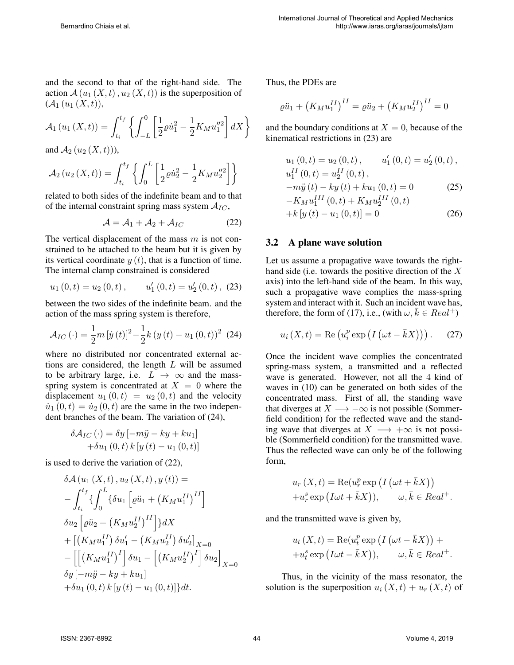and the second to that of the right-hand side. The action  $\mathcal{A}(u_1(X,t), u_2(X,t))$  is the superposition of  $({\cal A}_1(u_1(X,t)),$ 

$$
A_1(u_1(X,t)) = \int_{t_i}^{t_f} \left\{ \int_{-L}^{0} \left[ \frac{1}{2} \varrho \dot{u}_1^2 - \frac{1}{2} K_M u_1''^2 \right] dX \right\}
$$

and  $A_2(u_2(X,t))$ ,

$$
A_2(u_2(X,t)) = \int_{t_i}^{t_f} \left\{ \int_0^L \left[ \frac{1}{2} \varrho \dot{u}_2^2 - \frac{1}{2} K_M u_2''^2 \right] \right\}
$$

related to both sides of the indefinite beam and to that of the internal constraint spring mass system  $A_{IC}$ ,

$$
\mathcal{A} = \mathcal{A}_1 + \mathcal{A}_2 + \mathcal{A}_{IC} \tag{22}
$$

The vertical displacement of the mass  $m$  is not constrained to be attached to the beam but it is given by its vertical coordinate  $y(t)$ , that is a function of time. The internal clamp constrained is considered

$$
u_1(0,t) = u_2(0,t),
$$
  $u'_1(0,t) = u'_2(0,t),$  (23)

between the two sides of the indefinite beam. and the action of the mass spring system is therefore,

$$
\mathcal{A}_{IC} (\cdot) = \frac{1}{2} m [\dot{y}(t)]^2 - \frac{1}{2} k (y(t) - u_1 (0, t))^2 (24)
$$

where no distributed nor concentrated external actions are considered, the length  $L$  will be assumed to be arbitrary large, i.e.  $L \rightarrow \infty$  and the massspring system is concentrated at  $X = 0$  where the displacement  $u_1(0, t) = u_2(0, t)$  and the velocity  $\dot{u}_1(0, t) = \dot{u}_2(0, t)$  are the same in the two independent branches of the beam. The variation of (24),

$$
\delta \mathcal{A}_{IC} (\cdot) = \delta y \left[ -m\ddot{y} - ky + k u_1 \right] + \delta u_1 (0, t) k [y (t) - u_1 (0, t)]
$$

is used to derive the variation of (22),

$$
\delta \mathcal{A} (u_1(X, t), u_2(X, t), y(t)) =
$$
  
\n
$$
- \int_{t_i}^{t_f} \left\{ \int_0^L \left\{ \delta u_1 \left[ \varrho \ddot{u}_1 + \left( K_M u_1^{II} \right)^{II} \right] \right\} dX \right\}
$$
  
\n
$$
\delta u_2 \left[ \varrho \ddot{u}_2 + \left( K_M u_2^{II} \right)^{II} \right] dX + \left[ \left( K_M u_1^{II} \right) \delta u_1' - \left( K_M u_2^{II} \right) \delta u_2' \right]_{X=0}
$$
  
\n
$$
- \left[ \left[ \left( K_M u_1^{II} \right)^{I} \right] \delta u_1 - \left[ \left( K_M u_2^{II} \right)^{I} \right] \delta u_2 \right]_{X=0}
$$
  
\n
$$
\delta y \left[ -m\ddot{y} - ky + ku_1 \right]
$$
  
\n
$$
+ \delta u_1 (0, t) k \left[ y \left( t \right) - u_1 (0, t) \right] \right\} dt.
$$

Thus, the PDEs are

$$
\varrho \ddot{u}_1 + \left(K_M u_1^{II}\right)^{II} = \varrho \ddot{u}_2 + \left(K_M u_2^{II}\right)^{II} = 0
$$

and the boundary conditions at  $X = 0$ , because of the kinematical restrictions in (23) are

$$
u_1(0,t) = u_2(0,t), \t u'_1(0,t) = u'_2(0,t),
$$
  
\n
$$
u_1^{II}(0,t) = u_2^{II}(0,t),
$$
  
\n
$$
-m\ddot{y}(t) - ky(t) + ku_1(0,t) = 0
$$
\n(25)  
\n
$$
-K_M u_1^{III}(0,t) + K_M u_2^{III}(0,t)
$$
  
\n
$$
+ k[y(t) - u_1(0,t)] = 0
$$
\n(26)

#### 3.2 A plane wave solution

Let us assume a propagative wave towards the righthand side (i.e. towards the positive direction of the  $X$ axis) into the left-hand side of the beam. In this way, such a propagative wave complies the mass-spring system and interact with it. Such an incident wave has, therefore, the form of (17), i.e., (with  $\omega, k \in Real^+$ )

$$
u_i(X,t) = \text{Re}\left(u_i^p \exp\left(I\left(\omega t - \bar{k}X\right)\right)\right). \tag{27}
$$

Once the incident wave complies the concentrated spring-mass system, a transmitted and a reflected wave is generated. However, not all the 4 kind of waves in (10) can be generated on both sides of the concentrated mass. First of all, the standing wave that diverges at  $X \longrightarrow -\infty$  is not possible (Sommerfield condition) for the reflected wave and the standing wave that diverges at  $X \longrightarrow +\infty$  is not possible (Sommerfield condition) for the transmitted wave. Thus the reflected wave can only be of the following form,

$$
u_r(X,t) = \text{Re}(u_r^p \exp\left(I\left(\omega t + \bar{k}X\right)\right) + u_r^s \exp\left(I\omega t + \bar{k}X\right)), \qquad \omega, \bar{k} \in Real^+.
$$

and the transmitted wave is given by,

$$
u_t(X,t) = \text{Re}(u_t^p \exp\left(I\left(\omega t - \bar{k}X\right)\right) +
$$
  
+ 
$$
u_t^s \exp\left(I\omega t - \bar{k}X\right)), \qquad \omega, \bar{k} \in Real^+.
$$

Thus, in the vicinity of the mass resonator, the solution is the superposition  $u_i(X, t) + u_r(X, t)$  of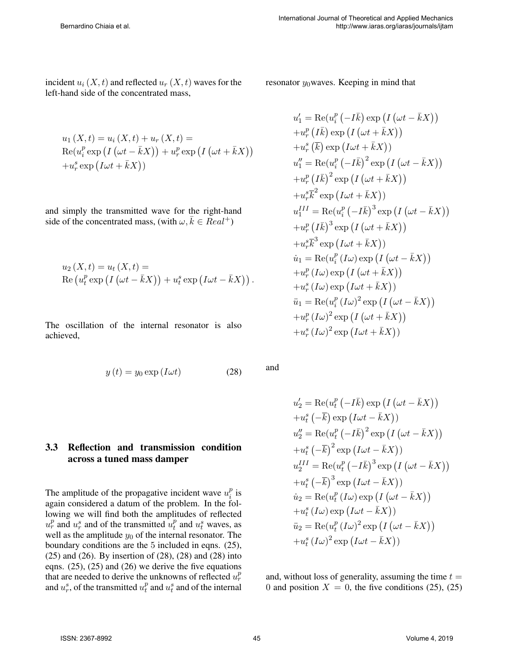incident  $u_i(X, t)$  and reflected  $u_r(X, t)$  waves for the left-hand side of the concentrated mass,

$$
u_1(X,t) = u_i(X,t) + u_r(X,t) =
$$
  
\n
$$
Re(u_i^p \exp(I(\omega t - \bar{k}X))) + u_r^p \exp(I(\omega t + \bar{k}X)))
$$
  
\n
$$
+ u_r^s \exp(I\omega t + \bar{k}X))
$$

and simply the transmitted wave for the right-hand side of the concentrated mass, (with  $\omega, \bar{k} \in Real^+$ )

$$
u_2(X,t) = u_t(X,t) =
$$
  
Re  $(u_t^p \exp(I(\omega t - \bar{k}X)) + u_t^s \exp(I\omega t - \bar{k}X)).$ 

The oscillation of the internal resonator is also achieved,

$$
y(t) = y_0 \exp\left(I\omega t\right) \tag{28}
$$

### 3.3 Reflection and transmission condition across a tuned mass damper

The amplitude of the propagative incident wave  $u_i^p$  $_i^p$  is again considered a datum of the problem. In the following we will find both the amplitudes of reflected  $u_r^p$  and  $u_r^s$  and of the transmitted  $u_t^p$  $_t^p$  and  $u_t^s$  waves, as well as the amplitude  $y_0$  of the internal resonator. The boundary conditions are the 5 included in eqns. (25),  $(25)$  and  $(26)$ . By insertion of  $(28)$ ,  $(28)$  and  $(28)$  into eqns. (25), (25) and (26) we derive the five equations that are needed to derive the unknowns of reflected  $u_r^p$ and  $u_r^s$ , of the transmitted  $u_t^p$  $t$ <sup>*n*</sup> and  $u_t$ <sup>*s*</sup> and of the internal

resonator  $y_0$  waves. Keeping in mind that

$$
u'_1 = \text{Re}(u_i^p (-I\bar{k}) \exp (I (\omega t - \bar{k}X))
$$
  
\n
$$
+u_r^p (I\bar{k}) \exp (I (\omega t + \bar{k}X))
$$
  
\n
$$
+u_r^s (\bar{k}) \exp (I\omega t + \bar{k}X))
$$
  
\n
$$
u''_1 = \text{Re}(u_i^p (-I\bar{k})^2 \exp (I (\omega t - \bar{k}X))
$$
  
\n
$$
+u_r^p (\bar{l}\bar{k})^2 \exp (I (\omega t + \bar{k}X))
$$
  
\n
$$
+u_r^s \bar{k}^2 \exp (I\omega t + \bar{k}X))
$$
  
\n
$$
u_1^{III} = \text{Re}(u_i^p (-I\bar{k})^3 \exp (I (\omega t - \bar{k}X))
$$
  
\n
$$
+u_r^s (\bar{l}\bar{k})^3 \exp (I (\omega t + \bar{k}X))
$$
  
\n
$$
+u_r^s \bar{k}^3 \exp (I\omega t + \bar{k}X))
$$
  
\n
$$
\dot{u}_1 = \text{Re}(u_i^p (I\omega) \exp (I (\omega t - \bar{k}X))
$$
  
\n
$$
+u_r^s (I\omega) \exp (I(\omega t + \bar{k}X))
$$
  
\n
$$
\ddot{u}_1 = \text{Re}(u_i^p (I\omega)^2 \exp (I (\omega t - \bar{k}X))
$$
  
\n
$$
+u_r^s (I\omega)^2 \exp (I (\omega t + \bar{k}X))
$$
  
\n
$$
+u_r^s (I\omega)^2 \exp (I(\omega t + \bar{k}X))
$$

and

$$
u'_2 = \text{Re}(u_t^p (-I\bar{k}) \exp (I (\omega t - \bar{k}X))
$$
  
+  $u_t^s (-\bar{k}) \exp (I\omega t - \bar{k}X))$   

$$
u''_2 = \text{Re}(u_t^p (-I\bar{k})^2 \exp (I (\omega t - \bar{k}X))
$$
  
+  $u_t^s (-\bar{k})^2 \exp (I\omega t - \bar{k}X))$   

$$
u_2^{III} = \text{Re}(u_t^p (-I\bar{k})^3 \exp (I (\omega t - \bar{k}X)))
$$
  
+  $u_t^s (-\bar{k})^3 \exp (I\omega t - \bar{k}X))$   

$$
\dot{u}_2 = \text{Re}(u_t^p (I\omega) \exp (I (\omega t - \bar{k}X)))
$$
  
+  $u_t^s (I\omega) \exp (I\omega t - \bar{k}X))$   

$$
\ddot{u}_2 = \text{Re}(u_t^p (I\omega)^2 \exp (I (\omega t - \bar{k}X)))
$$
  
+  $u_t^s (I\omega)^2 \exp (I\omega t - \bar{k}X))$ 

and, without loss of generality, assuming the time  $t =$ 0 and position  $X = 0$ , the five conditions (25), (25)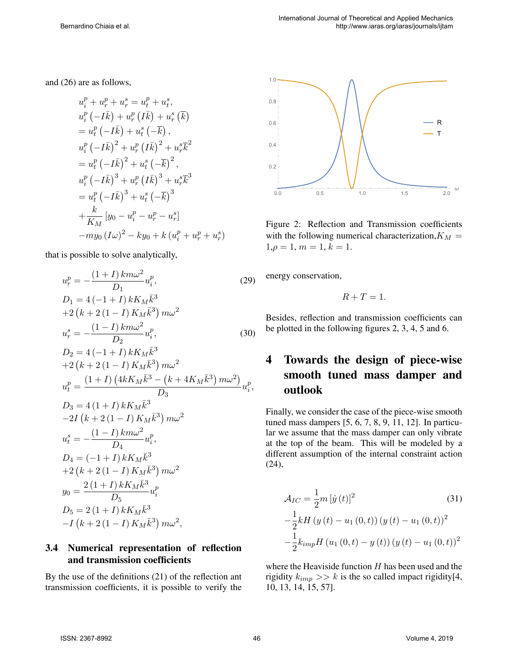and (26) are as follows,

$$
u_i^p + u_r^p + u_r^s = u_t^p + u_t^s,
$$
  
\n
$$
u_i^p (-I\bar{k}) + u_r^p (I\bar{k}) + u_r^s (\bar{k})
$$
  
\n
$$
= u_t^p (-I\bar{k}) + u_t^s (-\bar{k}),
$$
  
\n
$$
u_i^p (-I\bar{k})^2 + u_r^p (I\bar{k})^2 + u_r^s \bar{k}^2
$$
  
\n
$$
= u_t^p (-I\bar{k})^2 + u_t^s (-\bar{k})^2,
$$
  
\n
$$
u_i^p (-I\bar{k})^3 + u_r^p (I\bar{k})^3 + u_r^s \bar{k}^3
$$
  
\n
$$
= u_t^p (-I\bar{k})^3 + u_t^s (-\bar{k})^3
$$
  
\n
$$
+ \frac{k}{K_M} [y_0 - u_i^p - u_r^p - u_r^s]
$$
  
\n
$$
-m y_0 (I\omega)^2 - k y_0 + k (u_t^p + u_r^p + u_r^s)
$$

that is possible to solve analytically,

$$
u_r^p = -\frac{(1+I)km\omega^2}{D_1}u_i^p,
$$
\n
$$
D_1 = 4(-1+I)kK_M\bar{k}^3
$$
\n
$$
+2(k+2(1-I)K_M\bar{k}^3)m\omega^2
$$
\n
$$
u_r^s = -\frac{(1-I)km\omega^2}{D_2}u_i^p,
$$
\n(30)

$$
D_2 = 4(-1+I) kK_M \bar{k}^3
$$
  
+2(k+2(1-I) K\_M \bar{k}^3) m\omega^2  

$$
u_t^p = \frac{(1+I) (4kK_M \bar{k}^3 - (k+4K_M \bar{k}^3) m\omega^2)}{D_3}
$$

$$
D_3 = 4(1+I) kK_M \bar{k}^3
$$

$$
-2I (k+2(1-I) K_M \bar{k}^3) m\omega^2
$$

$$
u_t^s = -\frac{(1-I) k m\omega^2}{D_4} u_t^p,
$$

$$
D_4 = (-1+I) kK_M \bar{k}^3
$$

$$
+2 (k+2(1-I) K_M \bar{k}^3) m\omega^2
$$

$$
y_0 = \frac{2(1+I) kK_M \bar{k}^3}{D_5} u_t^p
$$

$$
D_5 = 2(1+I) kK_M \bar{k}^3
$$

$$
-I (k+2(1-I) K_M \bar{k}^3) m\omega^2,
$$

### 3.4 Numerical representation of reflection and transmission coefficients

By the use of the definitions (21) of the reflection ant transmission coefficients, it is possible to verify the



Figure 2: Reflection and Transmission coefficients with the following numerical characterization,  $K_M =$  $1, \rho = 1, m = 1, k = 1.$ 

energy conservation,

$$
R+T=1.
$$

Besides, reflection and transmission coefficients can be plotted in the following figures 2, 3, 4, 5 and 6.

# 4 Towards the design of piece-wise smooth tuned mass damper and outlook

Finally, we consider the case of the piece-wise smooth tuned mass dampers [5, 6, 7, 8, 9, 11, 12]. In particular we assume that the mass damper can only vibrate at the top of the beam. This will be modeled by a different assumption of the internal constraint action (24),

$$
\mathcal{A}_{IC} = \frac{1}{2} m [\dot{y}(t)]^2
$$
(31)  

$$
-\frac{1}{2} k H (y(t) - u_1(0,t)) (y(t) - u_1(0,t))^2
$$
  

$$
-\frac{1}{2} k_{imp} H (u_1(0,t) - y(t)) (y(t) - u_1(0,t))^2
$$

where the Heaviside function  $H$  has been used and the rigidity  $k_{imp} >> k$  is the so called impact rigidity[4, 10, 13, 14, 15, 57].

,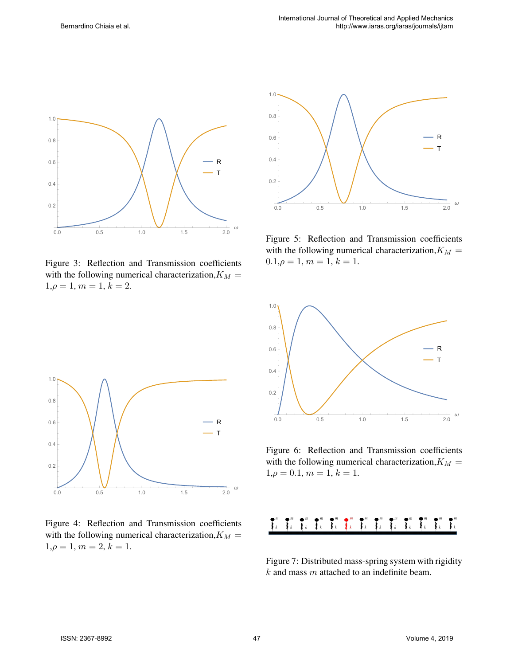

Figure 3: Reflection and Transmission coefficients with the following numerical characterization,  $K_M$  =  $1, \rho = 1, m = 1, k = 2.$ 



Figure 5: Reflection and Transmission coefficients with the following numerical characterization,  $K_M =$  $0.1, \rho = 1, m = 1, k = 1.$ 



Figure 6: Reflection and Transmission coefficients with the following numerical characterization,  $K_M$  =  $1,\rho = 0.1, m = 1, k = 1.$ 



Figure 7: Distributed mass-spring system with rigidity  $k$  and mass  $m$  attached to an indefinite beam.



Figure 4: Reflection and Transmission coefficients with the following numerical characterization,  $K_M$  =  $1, \rho = 1, m = 2, k = 1.$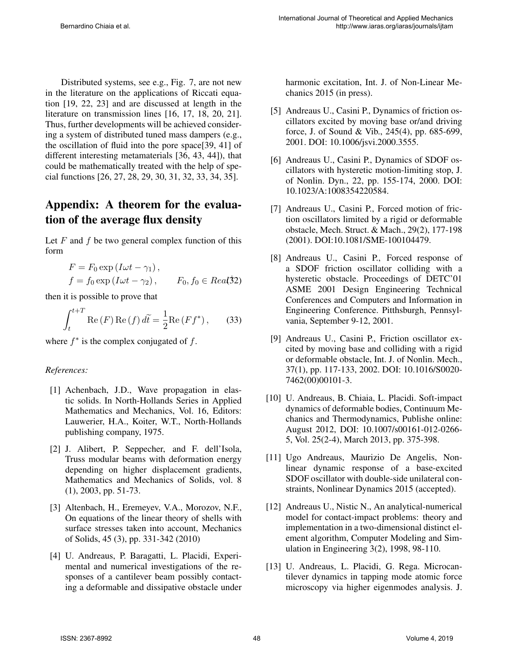Distributed systems, see e.g., Fig. 7, are not new in the literature on the applications of Riccati equation [19, 22, 23] and are discussed at length in the literature on transmission lines [16, 17, 18, 20, 21]. Thus, further developments will be achieved considering a system of distributed tuned mass dampers (e.g., the oscillation of fluid into the pore space[39, 41] of different interesting metamaterials [36, 43, 44]), that could be mathematically treated with the help of special functions [26, 27, 28, 29, 30, 31, 32, 33, 34, 35].

# Appendix: A theorem for the evaluation of the average flux density

Let  $F$  and  $f$  be two general complex function of this form

$$
F = F_0 \exp(I\omega t - \gamma_1),
$$
  
\n
$$
f = f_0 \exp(I\omega t - \gamma_2), \qquad F_0, f_0 \in Real(32)
$$

then it is possible to prove that

$$
\int_{t}^{t+T} \operatorname{Re}\left(F\right) \operatorname{Re}\left(f\right) d\widetilde{t} = \frac{1}{2} \operatorname{Re}\left(Ff^{*}\right),\qquad(33)
$$

where  $f^*$  is the complex conjugated of  $f$ .

#### *References:*

- [1] Achenbach, J.D., Wave propagation in elastic solids. In North-Hollands Series in Applied Mathematics and Mechanics, Vol. 16, Editors: Lauwerier, H.A., Koiter, W.T., North-Hollands publishing company, 1975.
- [2] J. Alibert, P. Seppecher, and F. dell'Isola, Truss modular beams with deformation energy depending on higher displacement gradients, Mathematics and Mechanics of Solids, vol. 8 (1), 2003, pp. 51-73.
- [3] Altenbach, H., Eremeyev, V.A., Morozov, N.F., On equations of the linear theory of shells with surface stresses taken into account, Mechanics of Solids, 45 (3), pp. 331-342 (2010)
- [4] U. Andreaus, P. Baragatti, L. Placidi, Experimental and numerical investigations of the responses of a cantilever beam possibly contacting a deformable and dissipative obstacle under

harmonic excitation, Int. J. of Non-Linear Mechanics 2015 (in press).

- [5] Andreaus U., Casini P., Dynamics of friction oscillators excited by moving base or/and driving force, J. of Sound & Vib., 245(4), pp. 685-699, 2001. DOI: 10.1006/jsvi.2000.3555.
- [6] Andreaus U., Casini P., Dynamics of SDOF oscillators with hysteretic motion-limiting stop, J. of Nonlin. Dyn., 22, pp. 155-174, 2000. DOI: 10.1023/A:1008354220584.
- [7] Andreaus U., Casini P., Forced motion of friction oscillators limited by a rigid or deformable obstacle, Mech. Struct. & Mach., 29(2), 177-198 (2001). DOI:10.1081/SME-100104479.
- [8] Andreaus U., Casini P., Forced response of a SDOF friction oscillator colliding with a hysteretic obstacle. Proceedings of DETC'01 ASME 2001 Design Engineering Technical Conferences and Computers and Information in Engineering Conference. Pitthsburgh, Pennsylvania, September 9-12, 2001.
- [9] Andreaus U., Casini P., Friction oscillator excited by moving base and colliding with a rigid or deformable obstacle, Int. J. of Nonlin. Mech., 37(1), pp. 117-133, 2002. DOI: 10.1016/S0020- 7462(00)00101-3.
- [10] U. Andreaus, B. Chiaia, L. Placidi. Soft-impact dynamics of deformable bodies, Continuum Mechanics and Thermodynamics, Publishe online: August 2012, DOI: 10.1007/s00161-012-0266- 5, Vol. 25(2-4), March 2013, pp. 375-398.
- [11] Ugo Andreaus, Maurizio De Angelis, Nonlinear dynamic response of a base-excited SDOF oscillator with double-side unilateral constraints, Nonlinear Dynamics 2015 (accepted).
- [12] Andreaus U., Nistic N., An analytical-numerical model for contact-impact problems: theory and implementation in a two-dimensional distinct element algorithm, Computer Modeling and Simulation in Engineering 3(2), 1998, 98-110.
- [13] U. Andreaus, L. Placidi, G. Rega. Microcantilever dynamics in tapping mode atomic force microscopy via higher eigenmodes analysis. J.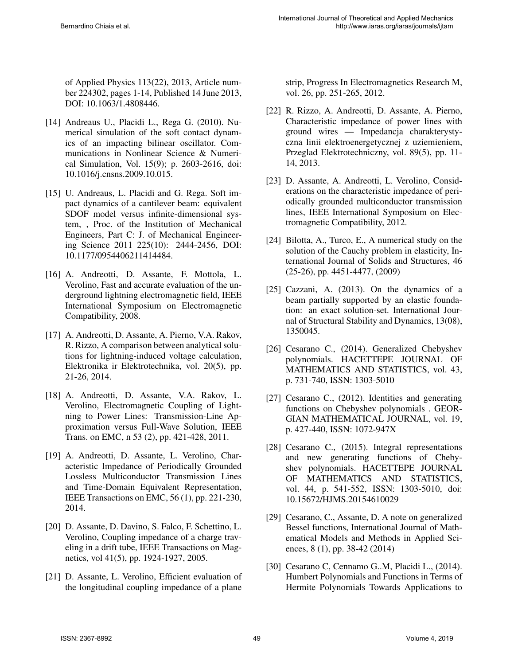of Applied Physics 113(22), 2013, Article number 224302, pages 1-14, Published 14 June 2013, DOI: 10.1063/1.4808446.

- [14] Andreaus U., Placidi L., Rega G. (2010). Numerical simulation of the soft contact dynamics of an impacting bilinear oscillator. Communications in Nonlinear Science & Numerical Simulation, Vol. 15(9); p. 2603-2616, doi: 10.1016/j.cnsns.2009.10.015.
- [15] U. Andreaus, L. Placidi and G. Rega. Soft impact dynamics of a cantilever beam: equivalent SDOF model versus infinite-dimensional system, , Proc. of the Institution of Mechanical Engineers, Part C: J. of Mechanical Engineering Science 2011 225(10): 2444-2456, DOI: 10.1177/0954406211414484.
- [16] A. Andreotti, D. Assante, F. Mottola, L. Verolino, Fast and accurate evaluation of the underground lightning electromagnetic field, IEEE International Symposium on Electromagnetic Compatibility, 2008.
- [17] A. Andreotti, D. Assante, A. Pierno, V.A. Rakov, R. Rizzo, A comparison between analytical solutions for lightning-induced voltage calculation, Elektronika ir Elektrotechnika, vol. 20(5), pp. 21-26, 2014.
- [18] A. Andreotti, D. Assante, V.A. Rakov, L. Verolino, Electromagnetic Coupling of Lightning to Power Lines: Transmission-Line Approximation versus Full-Wave Solution, IEEE Trans. on EMC, n 53 (2), pp. 421-428, 2011.
- [19] A. Andreotti, D. Assante, L. Verolino, Characteristic Impedance of Periodically Grounded Lossless Multiconductor Transmission Lines and Time-Domain Equivalent Representation, IEEE Transactions on EMC, 56 (1), pp. 221-230, 2014.
- [20] D. Assante, D. Davino, S. Falco, F. Schettino, L. Verolino, Coupling impedance of a charge traveling in a drift tube, IEEE Transactions on Magnetics, vol 41(5), pp. 1924-1927, 2005.
- [21] D. Assante, L. Verolino, Efficient evaluation of the longitudinal coupling impedance of a plane

strip, Progress In Electromagnetics Research M, vol. 26, pp. 251-265, 2012.

- [22] R. Rizzo, A. Andreotti, D. Assante, A. Pierno, Characteristic impedance of power lines with ground wires — Impedancja charakterystyczna linii elektroenergetycznej z uziemieniem, Przeglad Elektrotechniczny, vol. 89(5), pp. 11- 14, 2013.
- [23] D. Assante, A. Andreotti, L. Verolino, Considerations on the characteristic impedance of periodically grounded multiconductor transmission lines, IEEE International Symposium on Electromagnetic Compatibility, 2012.
- [24] Bilotta, A., Turco, E., A numerical study on the solution of the Cauchy problem in elasticity, International Journal of Solids and Structures, 46 (25-26), pp. 4451-4477, (2009)
- [25] Cazzani, A. (2013). On the dynamics of a beam partially supported by an elastic foundation: an exact solution-set. International Journal of Structural Stability and Dynamics, 13(08), 1350045.
- [26] Cesarano C., (2014). Generalized Chebyshev polynomials. HACETTEPE JOURNAL OF MATHEMATICS AND STATISTICS, vol. 43, p. 731-740, ISSN: 1303-5010
- [27] Cesarano C., (2012). Identities and generating functions on Chebyshev polynomials . GEOR-GIAN MATHEMATICAL JOURNAL, vol. 19, p. 427-440, ISSN: 1072-947X
- [28] Cesarano C., (2015). Integral representations and new generating functions of Chebyshev polynomials. HACETTEPE JOURNAL OF MATHEMATICS AND STATISTICS, vol. 44, p. 541-552, ISSN: 1303-5010, doi: 10.15672/HJMS.20154610029
- [29] Cesarano, C., Assante, D. A note on generalized Bessel functions, International Journal of Mathematical Models and Methods in Applied Sciences, 8 (1), pp. 38-42 (2014)
- [30] Cesarano C, Cennamo G..M, Placidi L., (2014). Humbert Polynomials and Functions in Terms of Hermite Polynomials Towards Applications to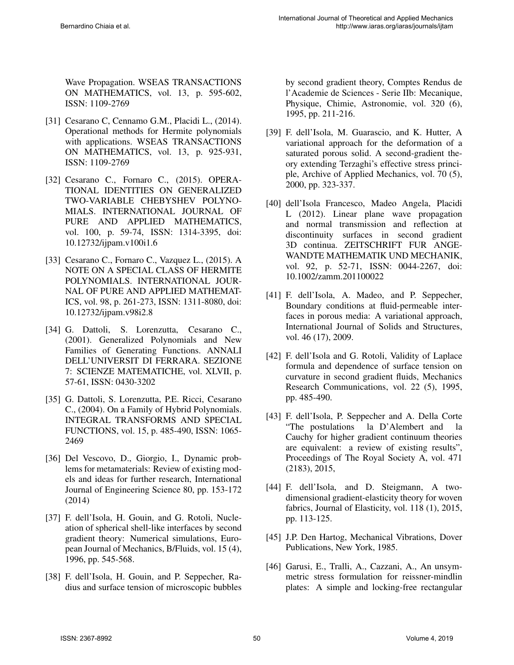Wave Propagation. WSEAS TRANSACTIONS ON MATHEMATICS, vol. 13, p. 595-602, ISSN: 1109-2769

- [31] Cesarano C, Cennamo G.M., Placidi L., (2014). Operational methods for Hermite polynomials with applications. WSEAS TRANSACTIONS ON MATHEMATICS, vol. 13, p. 925-931, ISSN: 1109-2769
- [32] Cesarano C., Fornaro C., (2015). OPERA-TIONAL IDENTITIES ON GENERALIZED TWO-VARIABLE CHEBYSHEV POLYNO-MIALS. INTERNATIONAL JOURNAL OF PURE AND APPLIED MATHEMATICS, vol. 100, p. 59-74, ISSN: 1314-3395, doi: 10.12732/ijpam.v100i1.6
- [33] Cesarano C., Fornaro C., Vazquez L., (2015). A NOTE ON A SPECIAL CLASS OF HERMITE POLYNOMIALS. INTERNATIONAL JOUR-NAL OF PURE AND APPLIED MATHEMAT-ICS, vol. 98, p. 261-273, ISSN: 1311-8080, doi: 10.12732/ijpam.v98i2.8
- [34] G. Dattoli, S. Lorenzutta, Cesarano C., (2001). Generalized Polynomials and New Families of Generating Functions. ANNALI DELL'UNIVERSIT DI FERRARA. SEZIONE 7: SCIENZE MATEMATICHE, vol. XLVII, p. 57-61, ISSN: 0430-3202
- [35] G. Dattoli, S. Lorenzutta, P.E. Ricci, Cesarano C., (2004). On a Family of Hybrid Polynomials. INTEGRAL TRANSFORMS AND SPECIAL FUNCTIONS, vol. 15, p. 485-490, ISSN: 1065- 2469
- [36] Del Vescovo, D., Giorgio, I., Dynamic problems for metamaterials: Review of existing models and ideas for further research, International Journal of Engineering Science 80, pp. 153-172 (2014)
- [37] F. dell'Isola, H. Gouin, and G. Rotoli, Nucleation of spherical shell-like interfaces by second gradient theory: Numerical simulations, European Journal of Mechanics, B/Fluids, vol. 15 (4), 1996, pp. 545-568.
- [38] F. dell'Isola, H. Gouin, and P. Seppecher, Radius and surface tension of microscopic bubbles

by second gradient theory, Comptes Rendus de l'Academie de Sciences - Serie IIb: Mecanique, Physique, Chimie, Astronomie, vol. 320 (6), 1995, pp. 211-216.

- [39] F. dell'Isola, M. Guarascio, and K. Hutter, A variational approach for the deformation of a saturated porous solid. A second-gradient theory extending Terzaghi's effective stress principle, Archive of Applied Mechanics, vol. 70 (5), 2000, pp. 323-337.
- [40] dell'Isola Francesco, Madeo Angela, Placidi L (2012). Linear plane wave propagation and normal transmission and reflection at discontinuity surfaces in second gradient 3D continua. ZEITSCHRIFT FUR ANGE-WANDTE MATHEMATIK UND MECHANIK, vol. 92, p. 52-71, ISSN: 0044-2267, doi: 10.1002/zamm.201100022
- [41] F. dell'Isola, A. Madeo, and P. Seppecher, Boundary conditions at fluid-permeable interfaces in porous media: A variational approach, International Journal of Solids and Structures, vol. 46 (17), 2009.
- [42] F. dell'Isola and G. Rotoli, Validity of Laplace formula and dependence of surface tension on curvature in second gradient fluids, Mechanics Research Communications, vol. 22 (5), 1995, pp. 485-490.
- [43] F. dell'Isola, P. Seppecher and A. Della Corte "The postulations la D'Alembert and la Cauchy for higher gradient continuum theories are equivalent: a review of existing results", Proceedings of The Royal Society A, vol. 471 (2183), 2015,
- [44] F. dell'Isola, and D. Steigmann, A twodimensional gradient-elasticity theory for woven fabrics, Journal of Elasticity, vol. 118 (1), 2015, pp. 113-125.
- [45] J.P. Den Hartog, Mechanical Vibrations, Dover Publications, New York, 1985.
- [46] Garusi, E., Tralli, A., Cazzani, A., An unsymmetric stress formulation for reissner-mindlin plates: A simple and locking-free rectangular